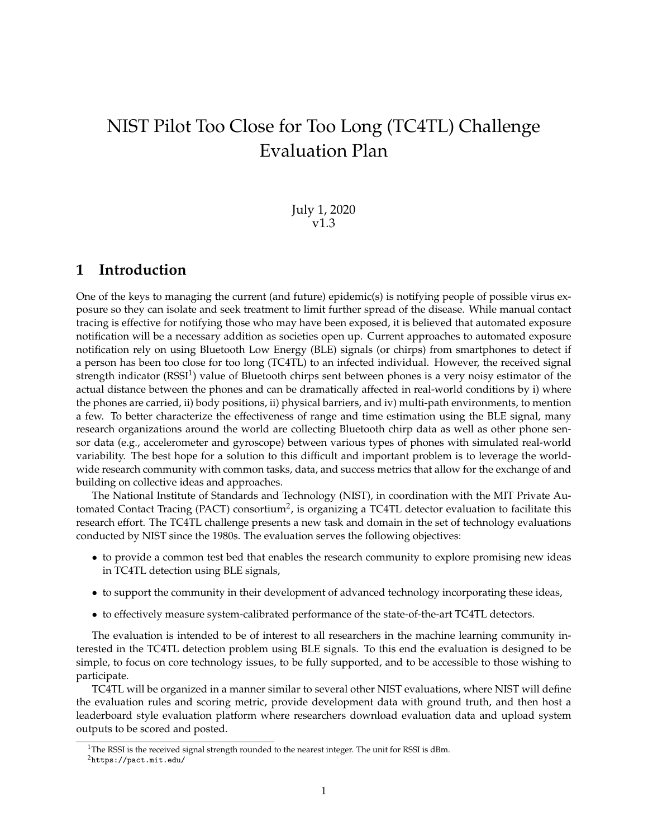# NIST Pilot Too Close for Too Long (TC4TL) Challenge Evaluation Plan

#### July 1, 2020 v1.3

## **1 Introduction**

One of the keys to managing the current (and future) epidemic(s) is notifying people of possible virus exposure so they can isolate and seek treatment to limit further spread of the disease. While manual contact tracing is effective for notifying those who may have been exposed, it is believed that automated exposure notification will be a necessary addition as societies open up. Current approaches to automated exposure notification rely on using Bluetooth Low Energy (BLE) signals (or chirps) from smartphones to detect if a person has been too close for too long (TC4TL) to an infected individual. However, the received signal strength indicator (RSSI<sup>1</sup>) value of Bluetooth chirps sent between phones is a very noisy estimator of the actual distance between the phones and can be dramatically affected in real-world conditions by i) where the phones are carried, ii) body positions, ii) physical barriers, and iv) multi-path environments, to mention a few. To better characterize the effectiveness of range and time estimation using the BLE signal, many research organizations around the world are collecting Bluetooth chirp data as well as other phone sensor data (e.g., accelerometer and gyroscope) between various types of phones with simulated real-world variability. The best hope for a solution to this difficult and important problem is to leverage the worldwide research community with common tasks, data, and success metrics that allow for the exchange of and building on collective ideas and approaches.

The National Institute of Standards and Technology (NIST), in coordination with the MIT Private Automated Contact Tracing (PACT) consortium<sup>2</sup>, is organizing a TC4TL detector evaluation to facilitate this research effort. The TC4TL challenge presents a new task and domain in the set of technology evaluations conducted by NIST since the 1980s. The evaluation serves the following objectives:

- to provide a common test bed that enables the research community to explore promising new ideas in TC4TL detection using BLE signals,
- to support the community in their development of advanced technology incorporating these ideas,
- to effectively measure system-calibrated performance of the state-of-the-art TC4TL detectors.

The evaluation is intended to be of interest to all researchers in the machine learning community interested in the TC4TL detection problem using BLE signals. To this end the evaluation is designed to be simple, to focus on core technology issues, to be fully supported, and to be accessible to those wishing to participate.

TC4TL will be organized in a manner similar to several other NIST evaluations, where NIST will define the evaluation rules and scoring metric, provide development data with ground truth, and then host a leaderboard style evaluation platform where researchers download evaluation data and upload system outputs to be scored and posted.

<sup>&</sup>lt;sup>1</sup>The RSSI is the received signal strength rounded to the nearest integer. The unit for RSSI is dBm.

<sup>2</sup>https://pact.mit.edu/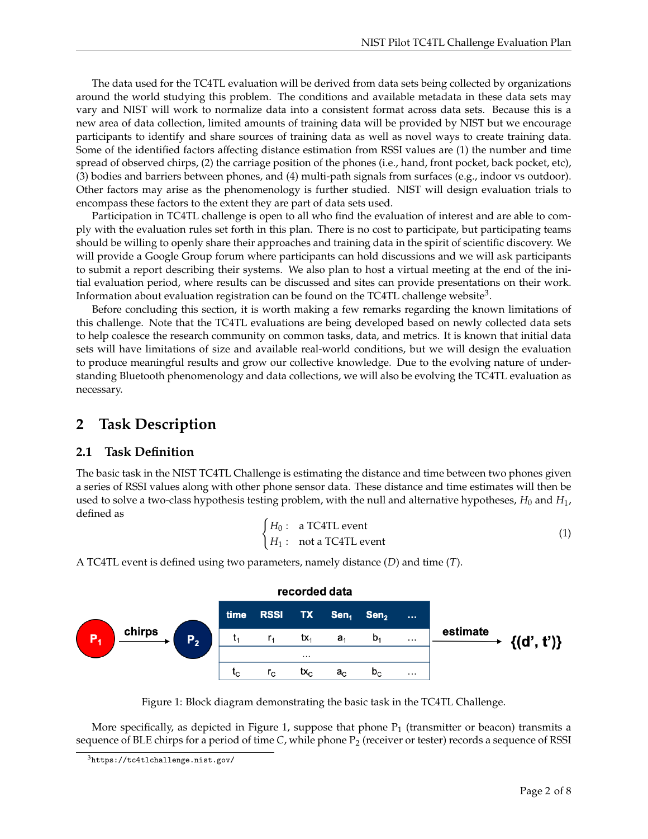The data used for the TC4TL evaluation will be derived from data sets being collected by organizations around the world studying this problem. The conditions and available metadata in these data sets may vary and NIST will work to normalize data into a consistent format across data sets. Because this is a new area of data collection, limited amounts of training data will be provided by NIST but we encourage participants to identify and share sources of training data as well as novel ways to create training data. Some of the identified factors affecting distance estimation from RSSI values are (1) the number and time spread of observed chirps, (2) the carriage position of the phones (i.e., hand, front pocket, back pocket, etc), (3) bodies and barriers between phones, and (4) multi-path signals from surfaces (e.g., indoor vs outdoor). Other factors may arise as the phenomenology is further studied. NIST will design evaluation trials to encompass these factors to the extent they are part of data sets used.

Participation in TC4TL challenge is open to all who find the evaluation of interest and are able to comply with the evaluation rules set forth in this plan. There is no cost to participate, but participating teams should be willing to openly share their approaches and training data in the spirit of scientific discovery. We will provide a Google Group forum where participants can hold discussions and we will ask participants to submit a report describing their systems. We also plan to host a virtual meeting at the end of the initial evaluation period, where results can be discussed and sites can provide presentations on their work. Information about evaluation registration can be found on the TC4TL challenge website $^3.$ 

Before concluding this section, it is worth making a few remarks regarding the known limitations of this challenge. Note that the TC4TL evaluations are being developed based on newly collected data sets to help coalesce the research community on common tasks, data, and metrics. It is known that initial data sets will have limitations of size and available real-world conditions, but we will design the evaluation to produce meaningful results and grow our collective knowledge. Due to the evolving nature of understanding Bluetooth phenomenology and data collections, we will also be evolving the TC4TL evaluation as necessary.

## **2 Task Description**

## **2.1 Task Definition**

The basic task in the NIST TC4TL Challenge is estimating the distance and time between two phones given a series of RSSI values along with other phone sensor data. These distance and time estimates will then be used to solve a two-class hypothesis testing problem, with the null and alternative hypotheses, *H*<sup>0</sup> and *H*1, defined as

$$
\begin{cases}\nH_0: \text{ a TCATL event} \\
H_1: \text{ not a TCATL event}\n\end{cases}
$$
\n(1)

A TC4TL event is defined using two parameters, namely distance (*D*) and time (*T*).



### recorded data

Figure 1: Block diagram demonstrating the basic task in the TC4TL Challenge.

More specifically, as depicted in Figure 1, suppose that phone  $P_1$  (transmitter or beacon) transmits a sequence of BLE chirps for a period of time *C*, while phone  $P_2$  (receiver or tester) records a sequence of RSSI

 $^3$ https://tc4tlchallenge.nist.gov/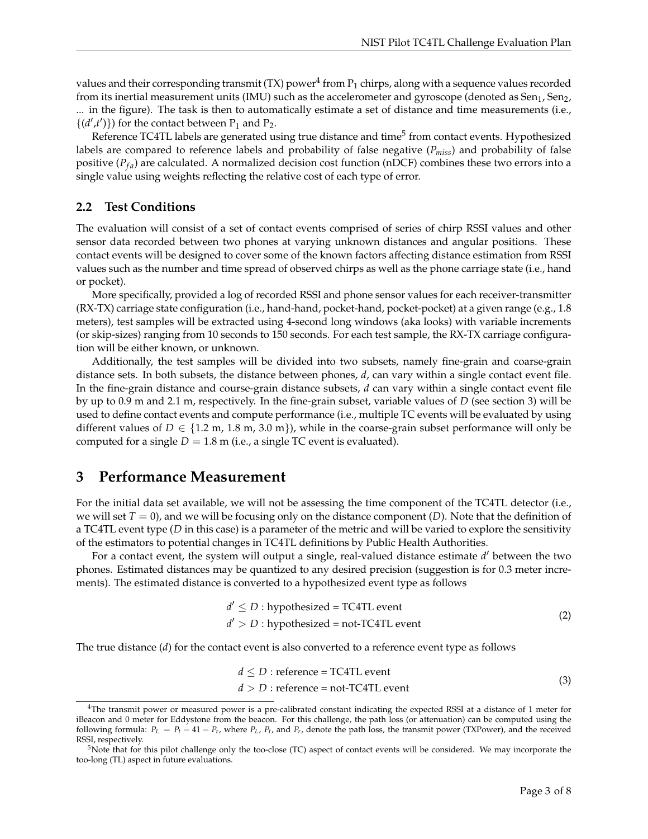values and their corresponding transmit (TX) power $^4$  from  $\rm P_1$  chirps, along with a sequence values recorded from its inertial measurement units (IMU) such as the accelerometer and gyroscope (denoted as  $Sen_1, Sen_2$ , ... in the figure). The task is then to automatically estimate a set of distance and time measurements (i.e.,  $\{(d', t')\}$  for the contact between P<sub>1</sub> and P<sub>2</sub>.

Reference TC4TL labels are generated using true distance and time<sup>5</sup> from contact events. Hypothesized labels are compared to reference labels and probability of false negative (*Pmiss*) and probability of false positive  $(P_{fa})$  are calculated. A normalized decision cost function (nDCF) combines these two errors into a single value using weights reflecting the relative cost of each type of error.

#### **2.2 Test Conditions**

The evaluation will consist of a set of contact events comprised of series of chirp RSSI values and other sensor data recorded between two phones at varying unknown distances and angular positions. These contact events will be designed to cover some of the known factors affecting distance estimation from RSSI values such as the number and time spread of observed chirps as well as the phone carriage state (i.e., hand or pocket).

More specifically, provided a log of recorded RSSI and phone sensor values for each receiver-transmitter (RX-TX) carriage state configuration (i.e., hand-hand, pocket-hand, pocket-pocket) at a given range (e.g., 1.8 meters), test samples will be extracted using 4-second long windows (aka looks) with variable increments (or skip-sizes) ranging from 10 seconds to 150 seconds. For each test sample, the RX-TX carriage configuration will be either known, or unknown.

Additionally, the test samples will be divided into two subsets, namely fine-grain and coarse-grain distance sets. In both subsets, the distance between phones, *d*, can vary within a single contact event file. In the fine-grain distance and course-grain distance subsets, *d* can vary within a single contact event file by up to 0.9 m and 2.1 m, respectively. In the fine-grain subset, variable values of *D* (see section 3) will be used to define contact events and compute performance (i.e., multiple TC events will be evaluated by using different values of  $D \in \{1.2 \text{ m}, 1.8 \text{ m}, 3.0 \text{ m}\}\)$ , while in the coarse-grain subset performance will only be computed for a single  $D = 1.8$  m (i.e., a single TC event is evaluated).

### **3 Performance Measurement**

For the initial data set available, we will not be assessing the time component of the TC4TL detector (i.e., we will set  $T = 0$ ), and we will be focusing only on the distance component (*D*). Note that the definition of a TC4TL event type (*D* in this case) is a parameter of the metric and will be varied to explore the sensitivity of the estimators to potential changes in TC4TL definitions by Public Health Authorities.

For a contact event, the system will output a single, real-valued distance estimate d' between the two phones. Estimated distances may be quantized to any desired precision (suggestion is for 0.3 meter increments). The estimated distance is converted to a hypothesized event type as follows

$$
d' \le D : \text{hypothesized} = \text{TC4TL event}
$$
  

$$
d' > D : \text{hypothesized} = \text{not-TC4TL event}
$$
 (2)

The true distance (*d*) for the contact event is also converted to a reference event type as follows

$$
d \le D : reference = TCATL event
$$
  

$$
d > D : reference = not-TCATL event
$$
 (3)

<sup>4</sup>The transmit power or measured power is a pre-calibrated constant indicating the expected RSSI at a distance of 1 meter for iBeacon and 0 meter for Eddystone from the beacon. For this challenge, the path loss (or attenuation) can be computed using the following formula:  $P_L = P_t - 41 - P_r$ , where  $P_L$ ,  $P_t$ , and  $P_r$ , denote the path loss, the transmit power (TXPower), and the received RSSI, respectively.

<sup>&</sup>lt;sup>5</sup>Note that for this pilot challenge only the too-close (TC) aspect of contact events will be considered. We may incorporate the too-long (TL) aspect in future evaluations.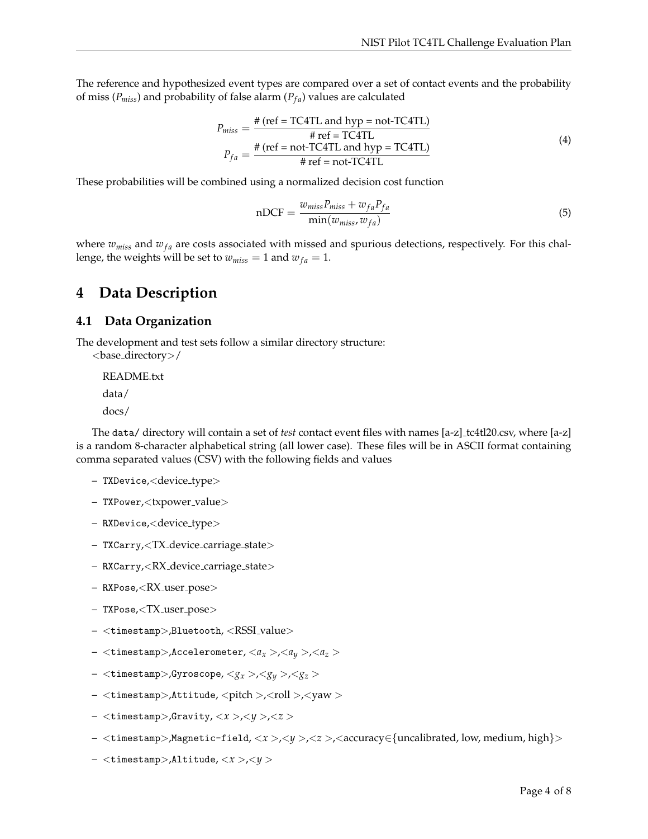The reference and hypothesized event types are compared over a set of contact events and the probability of miss ( $P_{miss}$ ) and probability of false alarm ( $P_{fa}$ ) values are calculated

$$
P_{miss} = \frac{\# (\text{ref} = TCATL \text{ and hyp} = \text{not-TC4TL})}{\# \text{ref} = TCATL}
$$
  
\n
$$
P_{fa} = \frac{\# (\text{ref} = \text{not-TC4TL} \text{ and hyp} = TCATL)}{\# \text{ref} = \text{not-TC4TL}}
$$
\n(4)

These probabilities will be combined using a normalized decision cost function

$$
nDCF = \frac{w_{miss}P_{miss} + w_{fa}P_{fa}}{\min(w_{miss}, w_{fa})}
$$
\n(5)

where  $w_{miss}$  and  $w_{fa}$  are costs associated with missed and spurious detections, respectively. For this challenge, the weights will be set to  $w_{miss} = 1$  and  $w_{fa} = 1$ .

## **4 Data Description**

#### **4.1 Data Organization**

The development and test sets follow a similar directory structure:

<base directory>/ README.txt data/

docs/

The data/ directory will contain a set of *test* contact event files with names [a-z] tc4tl20.csv, where [a-z] is a random 8-character alphabetical string (all lower case). These files will be in ASCII format containing comma separated values (CSV) with the following fields and values

- TXDevice,<device type>
- TXPower,<txpower\_value>
- RXDevice,<device type>
- TXCarry,<TX device carriage state>
- RXCarry,<RX device carriage state>
- RXPose,<RX user pose>
- TXPose,<TX user pose>
- <timestamp>,Bluetooth, <RSSI value>
- <timestamp>,Accelerometer, <*a<sup>x</sup>* >,<*a<sup>y</sup>* >,<*a<sup>z</sup>* >
- <timestamp>,Gyroscope, <*g<sup>x</sup>* >,<*g<sup>y</sup>* >,<*g<sup>z</sup>* >
- <timestamp>,Attitude, <pitch >,<roll >,<yaw >
- <timestamp>,Gravity, <*x* >,<*y* >,<*z* >
- <timestamp>,Magnetic-field, <*x* >,<*y* >,<*z* >,<accuracy∈{uncalibrated, low, medium, high}>
- <timestamp>,Altitude, <*x* >,<*y* >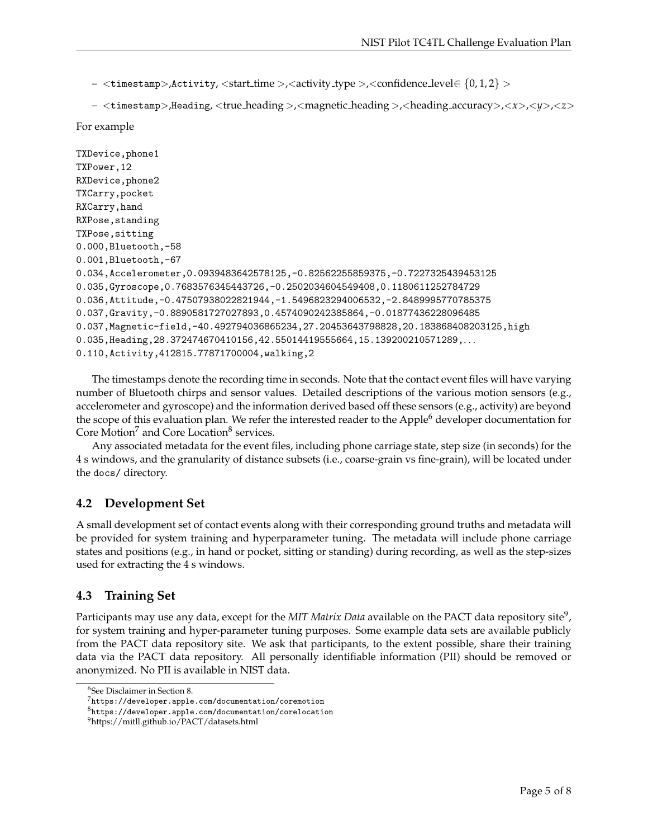```
– <timestamp>,Activity, <start_time >,<activity_type >,<confidence_level∈ \{0,1,2\} >
```

```
– <timestamp>,Heading, <true heading >,<magnetic heading >,<heading accuracy>,<x>,<y>,<z>
```
For example

```
TXDevice,phone1
TXPower,12
RXDevice,phone2
TXCarry,pocket
RXCarry,hand
RXPose,standing
TXPose,sitting
0.000,Bluetooth,-58
0.001,Bluetooth,-67
0.034,Accelerometer,0.0939483642578125,-0.82562255859375,-0.7227325439453125
0.035,Gyroscope,0.7683576345443726,-0.2502034604549408,0.1180611252784729
0.036,Attitude,-0.47507938022821944,-1.5496823294006532,-2.8489995770785375
0.037,Gravity,-0.8890581727027893,0.4574090242385864,-0.01877436228096485
0.037,Magnetic-field,-40.492794036865234,27.20453643798828,20.183868408203125,high
0.035,Heading,28.372474670410156,42.55014419555664,15.139200210571289,. . .
0.110,Activity,412815.77871700004,walking,2
```
The timestamps denote the recording time in seconds. Note that the contact event files will have varying number of Bluetooth chirps and sensor values. Detailed descriptions of the various motion sensors (e.g., accelerometer and gyroscope) and the information derived based off these sensors (e.g., activity) are beyond the scope of this evaluation plan. We refer the interested reader to the Apple<sup>6</sup> developer documentation for Core Motion<sup>7</sup> and Core Location<sup>8</sup> services.

Any associated metadata for the event files, including phone carriage state, step size (in seconds) for the 4 s windows, and the granularity of distance subsets (i.e., coarse-grain vs fine-grain), will be located under the docs/ directory.

### **4.2 Development Set**

A small development set of contact events along with their corresponding ground truths and metadata will be provided for system training and hyperparameter tuning. The metadata will include phone carriage states and positions (e.g., in hand or pocket, sitting or standing) during recording, as well as the step-sizes used for extracting the 4 s windows.

## **4.3 Training Set**

Participants may use any data*,* except for the MIT Matrix Data available on the PACT data repository site<sup>9</sup>, for system training and hyper-parameter tuning purposes. Some example data sets are available publicly from the PACT data repository site. We ask that participants, to the extent possible, share their training data via the PACT data repository. All personally identifiable information (PII) should be removed or anonymized. No PII is available in NIST data.

<sup>&</sup>lt;sup>6</sup>See Disclaimer in Section 8.

<sup>7</sup>https://developer.apple.com/documentation/coremotion

<sup>8</sup>https://developer.apple.com/documentation/corelocation

<sup>9</sup>https://mitll.github.io/PACT/datasets.html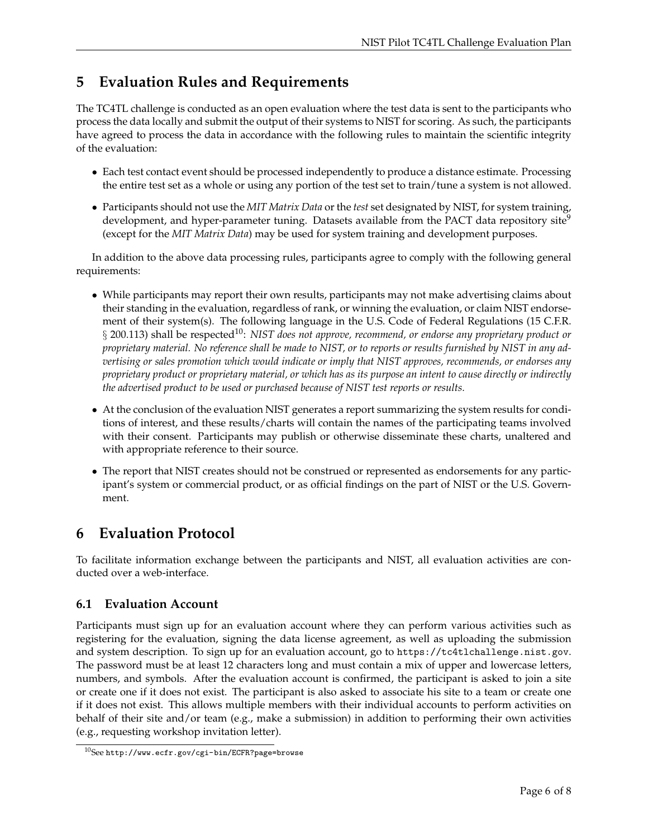## **5 Evaluation Rules and Requirements**

The TC4TL challenge is conducted as an open evaluation where the test data is sent to the participants who process the data locally and submit the output of their systems to NIST for scoring. As such, the participants have agreed to process the data in accordance with the following rules to maintain the scientific integrity of the evaluation:

- Each test contact event should be processed independently to produce a distance estimate. Processing the entire test set as a whole or using any portion of the test set to train/tune a system is not allowed.
- Participants should not use the *MIT Matrix Data* or the *test* set designated by NIST, for system training, development, and hyper-parameter tuning. Datasets available from the PACT data repository site<sup>9</sup> (except for the *MIT Matrix Data*) may be used for system training and development purposes.

In addition to the above data processing rules, participants agree to comply with the following general requirements:

- While participants may report their own results, participants may not make advertising claims about their standing in the evaluation, regardless of rank, or winning the evaluation, or claim NIST endorsement of their system(s). The following language in the U.S. Code of Federal Regulations (15 C.F.R. § 200.113) shall be respected<sup>10</sup>: *NIST does not approve, recommend, or endorse any proprietary product or proprietary material. No reference shall be made to NIST, or to reports or results furnished by NIST in any advertising or sales promotion which would indicate or imply that NIST approves, recommends, or endorses any proprietary product or proprietary material, or which has as its purpose an intent to cause directly or indirectly the advertised product to be used or purchased because of NIST test reports or results.*
- At the conclusion of the evaluation NIST generates a report summarizing the system results for conditions of interest, and these results/charts will contain the names of the participating teams involved with their consent. Participants may publish or otherwise disseminate these charts, unaltered and with appropriate reference to their source.
- The report that NIST creates should not be construed or represented as endorsements for any participant's system or commercial product, or as official findings on the part of NIST or the U.S. Government.

## **6 Evaluation Protocol**

To facilitate information exchange between the participants and NIST, all evaluation activities are conducted over a web-interface.

## **6.1 Evaluation Account**

Participants must sign up for an evaluation account where they can perform various activities such as registering for the evaluation, signing the data license agreement, as well as uploading the submission and system description. To sign up for an evaluation account, go to https://tc4tlchallenge.nist.gov. The password must be at least 12 characters long and must contain a mix of upper and lowercase letters, numbers, and symbols. After the evaluation account is confirmed, the participant is asked to join a site or create one if it does not exist. The participant is also asked to associate his site to a team or create one if it does not exist. This allows multiple members with their individual accounts to perform activities on behalf of their site and/or team (e.g., make a submission) in addition to performing their own activities (e.g., requesting workshop invitation letter).

 $10$ See http://www.ecfr.gov/cgi-bin/ECFR?page=browse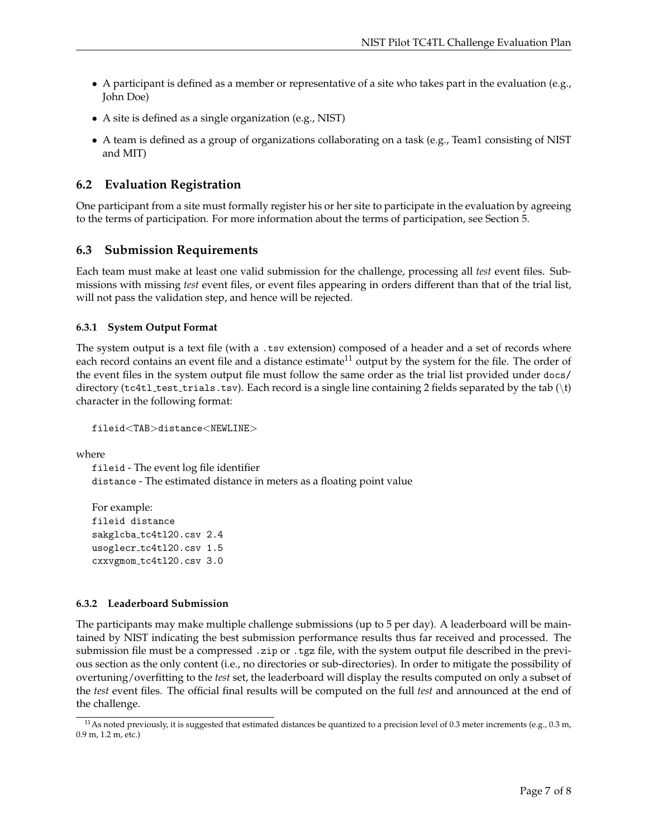- A participant is defined as a member or representative of a site who takes part in the evaluation (e.g., John Doe)
- A site is defined as a single organization (e.g., NIST)
- A team is defined as a group of organizations collaborating on a task (e.g., Team1 consisting of NIST and MIT)

### **6.2 Evaluation Registration**

One participant from a site must formally register his or her site to participate in the evaluation by agreeing to the terms of participation. For more information about the terms of participation, see Section 5.

### **6.3 Submission Requirements**

Each team must make at least one valid submission for the challenge, processing all *test* event files. Submissions with missing *test* event files, or event files appearing in orders different than that of the trial list, will not pass the validation step, and hence will be rejected.

#### **6.3.1 System Output Format**

The system output is a text file (with a .tsv extension) composed of a header and a set of records where each record contains an event file and a distance estimate<sup>11</sup> output by the system for the file. The order of the event files in the system output file must follow the same order as the trial list provided under docs/ directory (tc4tl\_test\_trials.tsv). Each record is a single line containing 2 fields separated by the tab  $(\dagger)$ character in the following format:

```
fileid<TAB>distance<NEWLINE>
```
where

fileid - The event log file identifier distance - The estimated distance in meters as a floating point value

For example: fileid distance sakglcba\_tc4tl20.csv 2.4 usoglecr tc4tl20.csv 1.5 cxxvgmom tc4tl20.csv 3.0

#### **6.3.2 Leaderboard Submission**

The participants may make multiple challenge submissions (up to 5 per day). A leaderboard will be maintained by NIST indicating the best submission performance results thus far received and processed. The submission file must be a compressed .zip or .tgz file, with the system output file described in the previous section as the only content (i.e., no directories or sub-directories). In order to mitigate the possibility of overtuning/overfitting to the *test* set, the leaderboard will display the results computed on only a subset of the *test* event files. The official final results will be computed on the full *test* and announced at the end of the challenge.

 $11$ As noted previously, it is suggested that estimated distances be quantized to a precision level of 0.3 meter increments (e.g., 0.3 m, 0.9 m, 1.2 m, etc.)